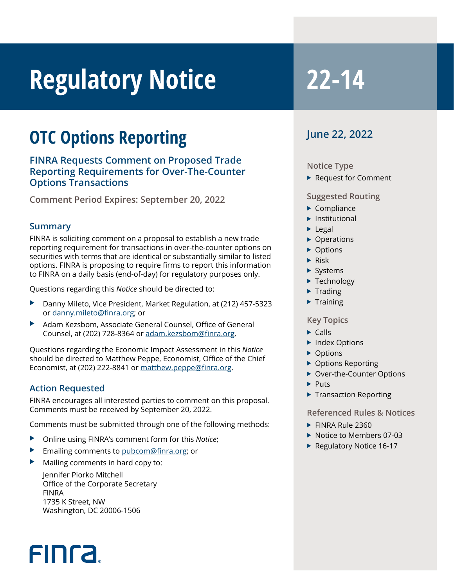# **Regulatory Notice 22-14**

## **OTC Options Reporting**

**FINRA Requests Comment on Proposed Trade Reporting Requirements for Over-The-Counter Options Transactions**

**Comment Period Expires: September 20, 2022** 

#### **Summary**

FINRA is soliciting comment on a proposal to establish a new trade reporting requirement for transactions in over-the-counter options on securities with terms that are identical or substantially similar to listed options. FINRA is proposing to require firms to report this information to FINRA on a daily basis (end-of-day) for regulatory purposes only.

Questions regarding this *Notice* should be directed to:

- Danny Mileto, Vice President, Market Regulation, at (212) 457-5323 or [danny.mileto@finra.org;](mailto:danny.mileto@finra.org) or
- Adam Kezsbom, Associate General Counsel, Office of General Counsel, at (202) 728-8364 or [adam.kezsbom@finra.org](mailto:adam.kezsbom@finra.org).

Questions regarding the Economic Impact Assessment in this *Notice* should be directed to Matthew Peppe, Economist, Office of the Chief Economist, at (202) 222-8841 or matthew.peppe@finra.org.

#### **Action Requested**

**FINCA** 

FINRA encourages all interested parties to comment on this proposal. Comments must be received by September 20, 2022.

Comments must be submitted through one of the following methods:

- Online using FINRA's comment form for this *Notice*;
- Emailing comments to pubcom@finra.org; or
- Mailing comments in hard copy to:

Jennifer Piorko Mitchell Office of the Corporate Secretary FINRA 1735 K Street, NW Washington, DC 20006-1506

#### **June 22, 2022**

#### **Notice Type**

 $\blacktriangleright$  Request for Comment

#### **Suggested Routing**

- $\blacktriangleright$  Compliance
- $\blacktriangleright$  Institutional
- $\blacktriangleright$  Legal
- $\triangleright$  Operations
- $\triangleright$  Options
- $\blacktriangleright$  Risk
- $\blacktriangleright$  Systems
- $\blacktriangleright$  Technology
- $\blacktriangleright$  Trading
- $\blacktriangleright$  Training

#### **Key Topics**

- $\triangleright$  Calls
- $\blacktriangleright$  Index Options
- $\triangleright$  Options
- $\triangleright$  Options Reporting
- ▶ Over-the-Counter Options
- $\blacktriangleright$  Puts
- $\blacktriangleright$  Transaction Reporting

#### **Referenced Rules & Notices**

- $\blacktriangleright$  FINRA Rule 2360
- $\blacktriangleright$  Notice to Members 07-03
- $\blacktriangleright$  Regulatory Notice 16-17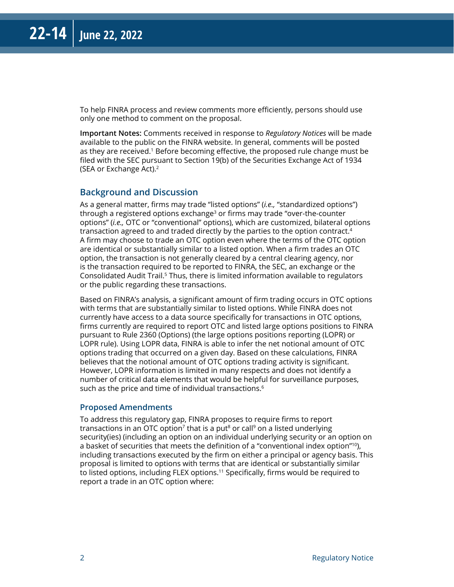To help FINRA process and review comments more efficiently, persons should use only one method to comment on the proposal.

**Important Notes:** Comments received in response to *Regulatory Notices* will be made available to the public on the FINRA website. In general, comments will be posted as they are received.<sup>1</sup> Before becoming effective, the proposed rule change must be filed with the SEC pursuant to Section 19(b) of the Securities Exchange Act of 1934 (SEA or Exchange Act).2

#### **Background and Discussion**

As a general matter, firms may trade "listed options" (*i.e.,* "standardized options") through a registered options exchange<sup>3</sup> or firms may trade "over-the-counter" options" (*i.e.,* OTC or "conventional" options), which are customized, bilateral options transaction agreed to and traded directly by the parties to the option contract.4 A firm may choose to trade an OTC option even where the terms of the OTC option are identical or substantially similar to a listed option. When a firm trades an OTC option, the transaction is not generally cleared by a central clearing agency, nor is the transaction required to be reported to FINRA, the SEC, an exchange or the Consolidated Audit Trail.<sup>5</sup> Thus, there is limited information available to regulators or the public regarding these transactions.

Based on FINRA's analysis, a significant amount of firm trading occurs in OTC options with terms that are substantially similar to listed options. While FINRA does not currently have access to a data source specifically for transactions in OTC options, firms currently are required to report OTC and listed large options positions to FINRA pursuant to Rule 2360 (Options) (the large options positions reporting (LOPR) or LOPR rule). Using LOPR data, FINRA is able to infer the net notional amount of OTC options trading that occurred on a given day. Based on these calculations, FINRA believes that the notional amount of OTC options trading activity is significant. However, LOPR information is limited in many respects and does not identify a number of critical data elements that would be helpful for surveillance purposes, such as the price and time of individual transactions.<sup>6</sup>

#### **Proposed Amendments**

To address this regulatory gap, FINRA proposes to require firms to report transactions in an OTC option<sup>7</sup> that is a put<sup>8</sup> or call<sup>9</sup> on a listed underlying security(ies) (including an option on an individual underlying security or an option on a basket of securities that meets the definition of a "conventional index option"10), including transactions executed by the firm on either a principal or agency basis. This proposal is limited to options with terms that are identical or substantially similar to listed options, including FLEX options.<sup>11</sup> Specifically, firms would be required to report a trade in an OTC option where: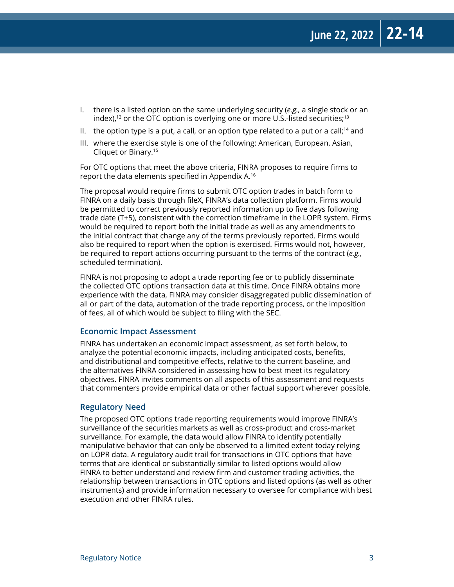- I. there is a listed option on the same underlying security (*e.g.,* a single stock or an index),<sup>12</sup> or the OTC option is overlying one or more U.S.-listed securities;<sup>13</sup>
- II. the option type is a put, a call, or an option type related to a put or a call;<sup>14</sup> and
- III. where the exercise style is one of the following: American, European, Asian, Cliquet or Binary.15

For OTC options that meet the above criteria, FINRA proposes to require firms to report the data elements specified in Appendix A.16

The proposal would require firms to submit OTC option trades in batch form to FINRA on a daily basis through fileX, FINRA's data collection platform. Firms would be permitted to correct previously reported information up to five days following trade date (T+5), consistent with the correction timeframe in the LOPR system. Firms would be required to report both the initial trade as well as any amendments to the initial contract that change any of the terms previously reported. Firms would also be required to report when the option is exercised. Firms would not, however, be required to report actions occurring pursuant to the terms of the contract (*e.g.,* scheduled termination).

FINRA is not proposing to adopt a trade reporting fee or to publicly disseminate the collected OTC options transaction data at this time. Once FINRA obtains more experience with the data, FINRA may consider disaggregated public dissemination of all or part of the data, automation of the trade reporting process, or the imposition of fees, all of which would be subject to filing with the SEC.

#### **Economic Impact Assessment**

FINRA has undertaken an economic impact assessment, as set forth below, to analyze the potential economic impacts, including anticipated costs, benefits, and distributional and competitive effects, relative to the current baseline, and the alternatives FINRA considered in assessing how to best meet its regulatory objectives. FINRA invites comments on all aspects of this assessment and requests that commenters provide empirical data or other factual support wherever possible.

#### **Regulatory Need**

The proposed OTC options trade reporting requirements would improve FINRA's surveillance of the securities markets as well as cross-product and cross-market surveillance. For example, the data would allow FINRA to identify potentially manipulative behavior that can only be observed to a limited extent today relying on LOPR data. A regulatory audit trail for transactions in OTC options that have terms that are identical or substantially similar to listed options would allow FINRA to better understand and review firm and customer trading activities, the relationship between transactions in OTC options and listed options (as well as other instruments) and provide information necessary to oversee for compliance with best execution and other FINRA rules.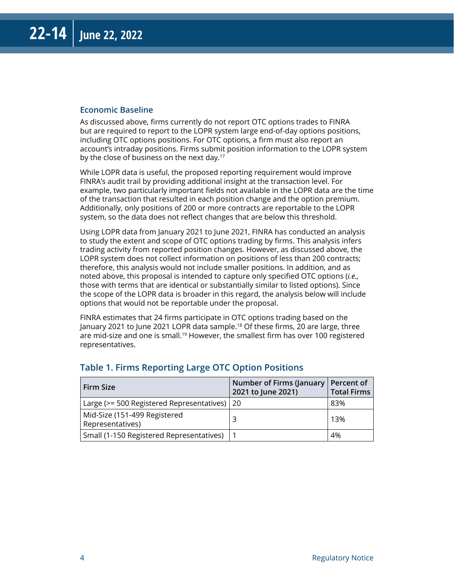#### **Economic Baseline**

As discussed above, firms currently do not report OTC options trades to FINRA but are required to report to the LOPR system large end-of-day options positions, including OTC options positions. For OTC options, a firm must also report an account's intraday positions. Firms submit position information to the LOPR system by the close of business on the next day.<sup>17</sup>

While LOPR data is useful, the proposed reporting requirement would improve FINRA's audit trail by providing additional insight at the transaction level. For example, two particularly important fields not available in the LOPR data are the time of the transaction that resulted in each position change and the option premium. Additionally, only positions of 200 or more contracts are reportable to the LOPR system, so the data does not reflect changes that are below this threshold.

Using LOPR data from January 2021 to June 2021, FINRA has conducted an analysis to study the extent and scope of OTC options trading by firms. This analysis infers trading activity from reported position changes. However, as discussed above, the LOPR system does not collect information on positions of less than 200 contracts; therefore, this analysis would not include smaller positions. In addition, and as noted above, this proposal is intended to capture only specified OTC options (*i.e.,* those with terms that are identical or substantially similar to listed options). Since the scope of the LOPR data is broader in this regard, the analysis below will include options that would not be reportable under the proposal.

FINRA estimates that 24 firms participate in OTC options trading based on the January 2021 to June 2021 LOPR data sample.18 Of these firms, 20 are large, three are mid-size and one is small.<sup>19</sup> However, the smallest firm has over 100 registered representatives.

| Firm Size                                        | Number of Firms (January   Percent of<br>2021 to June 2021) | <b>Total Firms</b> |
|--------------------------------------------------|-------------------------------------------------------------|--------------------|
| Large (>= 500 Registered Representatives)   20   |                                                             | 83%                |
| Mid-Size (151-499 Registered<br>Representatives) |                                                             | 13%                |
| Small (1-150 Registered Representatives)         |                                                             | 4%                 |

#### **Table 1. Firms Reporting Large OTC Option Positions**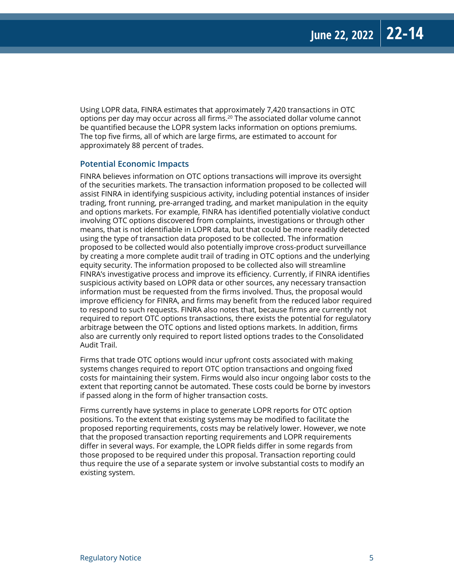Using LOPR data, FINRA estimates that approximately 7,420 transactions in OTC options per day may occur across all firms.20 The associated dollar volume cannot be quantified because the LOPR system lacks information on options premiums. The top five firms, all of which are large firms, are estimated to account for approximately 88 percent of trades.

#### **Potential Economic Impacts**

FINRA believes information on OTC options transactions will improve its oversight of the securities markets. The transaction information proposed to be collected will assist FINRA in identifying suspicious activity, including potential instances of insider trading, front running, pre-arranged trading, and market manipulation in the equity and options markets. For example, FINRA has identified potentially violative conduct involving OTC options discovered from complaints, investigations or through other means, that is not identifiable in LOPR data, but that could be more readily detected using the type of transaction data proposed to be collected. The information proposed to be collected would also potentially improve cross-product surveillance by creating a more complete audit trail of trading in OTC options and the underlying equity security. The information proposed to be collected also will streamline FINRA's investigative process and improve its efficiency. Currently, if FINRA identifies suspicious activity based on LOPR data or other sources, any necessary transaction information must be requested from the firms involved. Thus, the proposal would improve efficiency for FINRA, and firms may benefit from the reduced labor required to respond to such requests. FINRA also notes that, because firms are currently not required to report OTC options transactions, there exists the potential for regulatory arbitrage between the OTC options and listed options markets. In addition, firms also are currently only required to report listed options trades to the Consolidated Audit Trail.

Firms that trade OTC options would incur upfront costs associated with making systems changes required to report OTC option transactions and ongoing fixed costs for maintaining their system. Firms would also incur ongoing labor costs to the extent that reporting cannot be automated. These costs could be borne by investors if passed along in the form of higher transaction costs.

Firms currently have systems in place to generate LOPR reports for OTC option positions. To the extent that existing systems may be modified to facilitate the proposed reporting requirements, costs may be relatively lower. However, we note that the proposed transaction reporting requirements and LOPR requirements differ in several ways. For example, the LOPR fields differ in some regards from those proposed to be required under this proposal. Transaction reporting could thus require the use of a separate system or involve substantial costs to modify an existing system.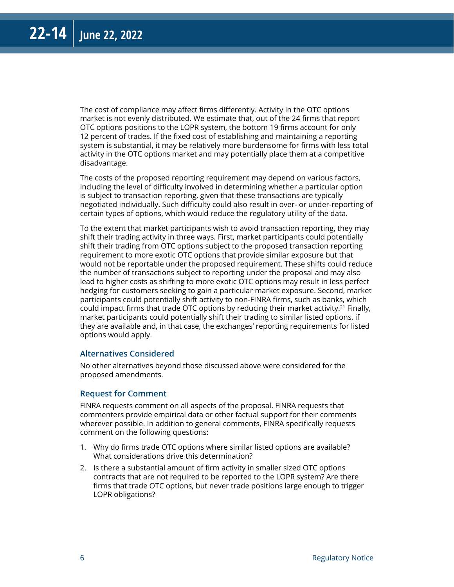The cost of compliance may affect firms differently. Activity in the OTC options market is not evenly distributed. We estimate that, out of the 24 firms that report OTC options positions to the LOPR system, the bottom 19 firms account for only 12 percent of trades. If the fixed cost of establishing and maintaining a reporting system is substantial, it may be relatively more burdensome for firms with less total activity in the OTC options market and may potentially place them at a competitive disadvantage.

The costs of the proposed reporting requirement may depend on various factors, including the level of difficulty involved in determining whether a particular option is subject to transaction reporting, given that these transactions are typically negotiated individually. Such difficulty could also result in over- or under-reporting of certain types of options, which would reduce the regulatory utility of the data.

To the extent that market participants wish to avoid transaction reporting, they may shift their trading activity in three ways. First, market participants could potentially shift their trading from OTC options subject to the proposed transaction reporting requirement to more exotic OTC options that provide similar exposure but that would not be reportable under the proposed requirement. These shifts could reduce the number of transactions subject to reporting under the proposal and may also lead to higher costs as shifting to more exotic OTC options may result in less perfect hedging for customers seeking to gain a particular market exposure. Second, market participants could potentially shift activity to non-FINRA firms, such as banks, which could impact firms that trade OTC options by reducing their market activity.<sup>21</sup> Finally, market participants could potentially shift their trading to similar listed options, if they are available and, in that case, the exchanges' reporting requirements for listed options would apply.

#### **Alternatives Considered**

No other alternatives beyond those discussed above were considered for the proposed amendments.

#### **Request for Comment**

FINRA requests comment on all aspects of the proposal. FINRA requests that commenters provide empirical data or other factual support for their comments wherever possible. In addition to general comments, FINRA specifically requests comment on the following questions:

- 1. Why do firms trade OTC options where similar listed options are available? What considerations drive this determination?
- 2. Is there a substantial amount of firm activity in smaller sized OTC options contracts that are not required to be reported to the LOPR system? Are there firms that trade OTC options, but never trade positions large enough to trigger LOPR obligations?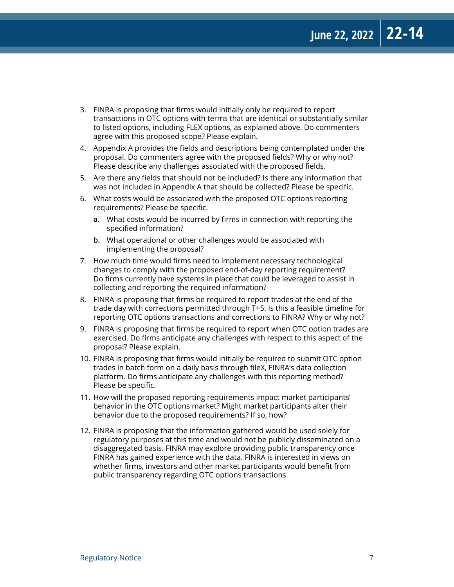- 3. FINRA is proposing that firms would initially only be required to report transactions in OTC options with terms that are identical or substantially similar to listed options, including FLEX options, as explained above. Do commenters agree with this proposed scope? Please explain.
- 4. Appendix A provides the fields and descriptions being contemplated under the proposal. Do commenters agree with the proposed fields? Why or why not? Please describe any challenges associated with the proposed fields.
- 5. Are there any fields that should not be included? Is there any information that was not included in Appendix A that should be collected? Please be specific.
- 6. What costs would be associated with the proposed OTC options reporting requirements? Please be specific.
	- **a.** What costs would be incurred by firms in connection with reporting the specified information?
	- **b.** What operational or other challenges would be associated with implementing the proposal?
- 7. How much time would firms need to implement necessary technological changes to comply with the proposed end-of-day reporting requirement? Do firms currently have systems in place that could be leveraged to assist in collecting and reporting the required information?
- 8. FINRA is proposing that firms be required to report trades at the end of the trade day with corrections permitted through T+5. Is this a feasible timeline for reporting OTC options transactions and corrections to FINRA? Why or why not?
- 9. FINRA is proposing that firms be required to report when OTC option trades are exercised. Do firms anticipate any challenges with respect to this aspect of the proposal? Please explain.
- 10. FINRA is proposing that firms would initially be required to submit OTC option trades in batch form on a daily basis through fileX, FINRA's data collection platform. Do firms anticipate any challenges with this reporting method? Please be specific.
- 11. How will the proposed reporting requirements impact market participants' behavior in the OTC options market? Might market participants alter their behavior due to the proposed requirements? If so, how?
- 12. FINRA is proposing that the information gathered would be used solely for regulatory purposes at this time and would not be publicly disseminated on a disaggregated basis. FINRA may explore providing public transparency once FINRA has gained experience with the data. FINRA is interested in views on whether firms, investors and other market participants would benefit from public transparency regarding OTC options transactions.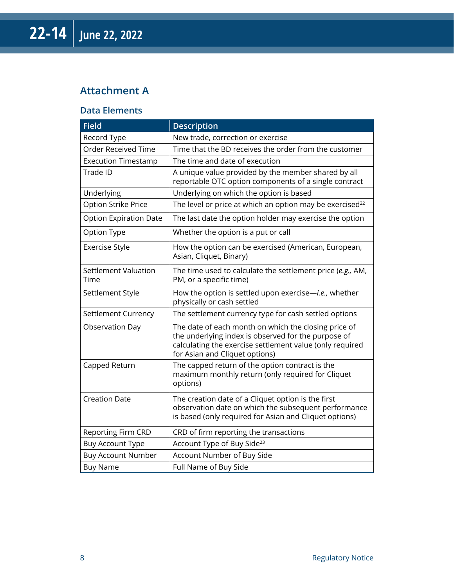### **Attachment A**

#### **Data Elements**

| <b>Field</b>                  | <b>Description</b>                                                                                                                                                                                        |
|-------------------------------|-----------------------------------------------------------------------------------------------------------------------------------------------------------------------------------------------------------|
| Record Type                   | New trade, correction or exercise                                                                                                                                                                         |
| <b>Order Received Time</b>    | Time that the BD receives the order from the customer                                                                                                                                                     |
| <b>Execution Timestamp</b>    | The time and date of execution                                                                                                                                                                            |
| Trade ID                      | A unique value provided by the member shared by all<br>reportable OTC option components of a single contract                                                                                              |
| Underlying                    | Underlying on which the option is based                                                                                                                                                                   |
| Option Strike Price           | The level or price at which an option may be exercised <sup>22</sup>                                                                                                                                      |
| <b>Option Expiration Date</b> | The last date the option holder may exercise the option                                                                                                                                                   |
| Option Type                   | Whether the option is a put or call                                                                                                                                                                       |
| <b>Exercise Style</b>         | How the option can be exercised (American, European,<br>Asian, Cliquet, Binary)                                                                                                                           |
| Settlement Valuation<br>Time  | The time used to calculate the settlement price (e.g., AM,<br>PM, or a specific time)                                                                                                                     |
| Settlement Style              | How the option is settled upon exercise-i.e., whether<br>physically or cash settled                                                                                                                       |
| Settlement Currency           | The settlement currency type for cash settled options                                                                                                                                                     |
| Observation Day               | The date of each month on which the closing price of<br>the underlying index is observed for the purpose of<br>calculating the exercise settlement value (only required<br>for Asian and Cliquet options) |
| Capped Return                 | The capped return of the option contract is the<br>maximum monthly return (only required for Cliquet<br>options)                                                                                          |
| <b>Creation Date</b>          | The creation date of a Cliquet option is the first<br>observation date on which the subsequent performance<br>is based (only required for Asian and Cliquet options)                                      |
| <b>Reporting Firm CRD</b>     | CRD of firm reporting the transactions                                                                                                                                                                    |
| <b>Buy Account Type</b>       | Account Type of Buy Side <sup>23</sup>                                                                                                                                                                    |
| <b>Buy Account Number</b>     | Account Number of Buy Side                                                                                                                                                                                |
| <b>Buy Name</b>               | Full Name of Buy Side                                                                                                                                                                                     |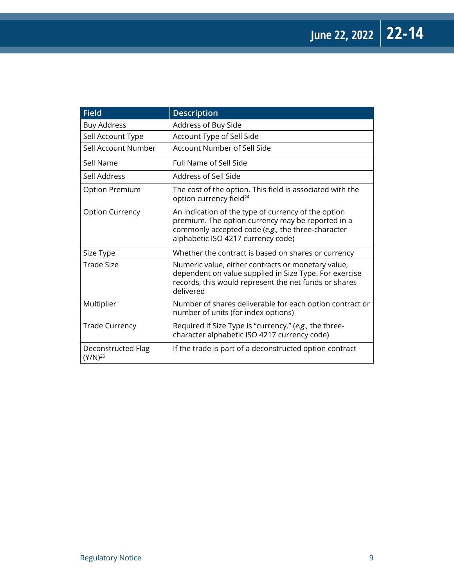| <b>Field</b>                       | <b>Description</b>                                                                                                                                                                                  |
|------------------------------------|-----------------------------------------------------------------------------------------------------------------------------------------------------------------------------------------------------|
| <b>Buy Address</b>                 | Address of Buy Side                                                                                                                                                                                 |
| Sell Account Type                  | Account Type of Sell Side                                                                                                                                                                           |
| Sell Account Number                | Account Number of Sell Side                                                                                                                                                                         |
| Sell Name                          | Full Name of Sell Side                                                                                                                                                                              |
| Sell Address                       | Address of Sell Side                                                                                                                                                                                |
| Option Premium                     | The cost of the option. This field is associated with the<br>option currency field <sup>24</sup>                                                                                                    |
| <b>Option Currency</b>             | An indication of the type of currency of the option<br>premium. The option currency may be reported in a<br>commonly accepted code (e.g., the three-character<br>alphabetic ISO 4217 currency code) |
| Size Type                          | Whether the contract is based on shares or currency                                                                                                                                                 |
| Trade Size                         | Numeric value, either contracts or monetary value,<br>dependent on value supplied in Size Type. For exercise<br>records, this would represent the net funds or shares<br>delivered                  |
| Multiplier                         | Number of shares deliverable for each option contract or<br>number of units (for index options)                                                                                                     |
| <b>Trade Currency</b>              | Required if Size Type is "currency." (e.g., the three-<br>character alphabetic ISO 4217 currency code)                                                                                              |
| Deconstructed Flag<br>$(Y/N)^{25}$ | If the trade is part of a deconstructed option contract                                                                                                                                             |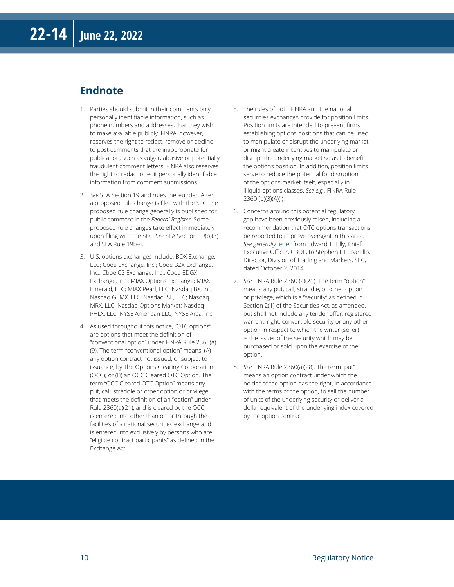#### **Endnote**

- 1. Parties should submit in their comments only personally identifiable information, such as phone numbers and addresses, that they wish to make available publicly. FINRA, however, reserves the right to redact, remove or decline to post comments that are inappropriate for publication, such as vulgar, abusive or potentially fraudulent comment letters. FINRA also reserves the right to redact or edit personally identifiable information from comment submissions.
- 2. *See* SEA Section 19 and rules thereunder. After a proposed rule change is filed with the SEC, the proposed rule change generally is published for public comment in the *Federal Register*. Some proposed rule changes take effect immediately upon filing with the SEC. *See* SEA Section 19(b)(3) and SEA Rule 19b-4.
- 3. U.S. options exchanges include: BOX Exchange, LLC; Cboe Exchange, Inc.; Cboe BZX Exchange, Inc.; Cboe C2 Exchange, Inc.; Cboe EDGX Exchange, Inc.; MIAX Options Exchange; MIAX Emerald, LLC; MIAX Pearl, LLC; Nasdaq BX, Inc.; Nasdaq GEMX, LLC; Nasdaq ISE, LLC; Nasdaq MRX, LLC; Nasdaq Options Market; Nasdaq PHLX, LLC; NYSE American LLC; NYSE Arca, Inc.
- 4. As used throughout this notice, "OTC options" are options that meet the definition of "conventional option" under FINRA Rule 2360(a) (9). The term "conventional option" means: (A) any option contract not issued, or subject to issuance, by The Options Clearing Corporation (OCC); or (B) an OCC Cleared OTC Option. The term "OCC Cleared OTC Option" means any put, call, straddle or other option or privilege that meets the definition of an "option" under Rule 2360(a)(21), and is cleared by the OCC, is entered into other than on or through the facilities of a national securities exchange and is entered into exclusively by persons who are "eligible contract participants" as defined in the Exchange Act.
- 5. The rules of both FINRA and the national securities exchanges provide for position limits. Position limits are intended to prevent firms establishing options positions that can be used to manipulate or disrupt the underlying market or might create incentives to manipulate or disrupt the underlying market so as to benefit the options position. In addition, position limits serve to reduce the potential for disruption of the options market itself, especially in illiquid options classes. *See e.g.,* FINRA Rule 2360 (b)(3)(A)(i).
- 6. Concerns around this potential regulatory gap have been previously raised, including a recommendation that OTC options transactions be reported to improve oversight in this area. *See generally* [letter](https://cdn.cboe.com/resources/government_relations/comment_letters/20141002.pdf) from Edward T. Tilly, Chief Executive Officer, CBOE, to Stephen I. Luparello, Director, Division of Trading and Markets, SEC, dated October 2, 2014.
- 7. *See* FINRA Rule 2360 (a)(21). The term "option" means any put, call, straddle, or other option or privilege, which is a "security" as defined in Section 2(1) of the Securities Act, as amended, but shall not include any tender offer, registered warrant, right, convertible security or any other option in respect to which the writer (seller) is the issuer of the security which may be purchased or sold upon the exercise of the option.
- 8. *See* FINRA Rule 2360(a)(28). The term "put" means an option contract under which the holder of the option has the right, in accordance with the terms of the option, to sell the number of units of the underlying security or deliver a dollar equivalent of the underlying index covered by the option contract.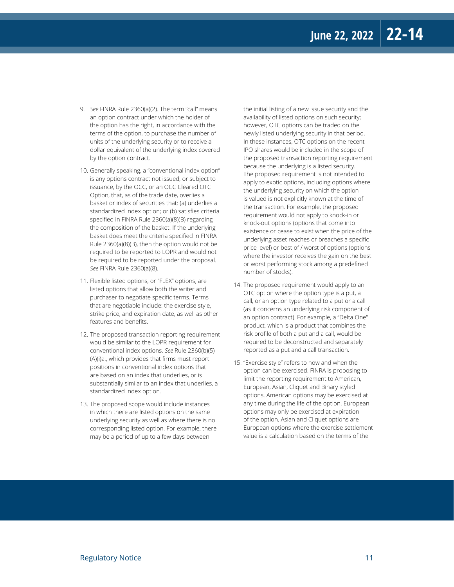- 9. *See* FINRA Rule 2360(a)(2). The term "call" means an option contract under which the holder of the option has the right, in accordance with the terms of the option, to purchase the number of units of the underlying security or to receive a dollar equivalent of the underlying index covered by the option contract.
- 10. Generally speaking, a "conventional index option" is any options contract not issued, or subject to issuance, by the OCC, or an OCC Cleared OTC Option, that, as of the trade date, overlies a basket or index of securities that: (a) underlies a standardized index option; or (b) satisfies criteria specified in FINRA Rule 2360(a)(8)(B) regarding the composition of the basket. If the underlying basket does meet the criteria specified in FINRA Rule 2360(a)(8)(B), then the option would not be required to be reported to LOPR and would not be required to be reported under the proposal. *See* FINRA Rule 2360(a)(8).
- 11. Flexible listed options, or "FLEX" options, are listed options that allow both the writer and purchaser to negotiate specific terms. Terms that are negotiable include: the exercise style, strike price, and expiration date, as well as other features and benefits.
- 12. The proposed transaction reporting requirement would be similar to the LOPR requirement for conventional index options. *See* Rule 2360(b)(5) (A)(i)a., which provides that firms must report positions in conventional index options that are based on an index that underlies, or is substantially similar to an index that underlies, a standardized index option.
- 13. The proposed scope would include instances in which there are listed options on the same underlying security as well as where there is no corresponding listed option. For example, there may be a period of up to a few days between

the initial listing of a new issue security and the availability of listed options on such security; however, OTC options can be traded on the newly listed underlying security in that period. In these instances, OTC options on the recent IPO shares would be included in the scope of the proposed transaction reporting requirement because the underlying is a listed security. The proposed requirement is not intended to apply to exotic options, including options where the underlying security on which the option is valued is not explicitly known at the time of the transaction. For example, the proposed requirement would not apply to knock-in or knock-out options (options that come into existence or cease to exist when the price of the underlying asset reaches or breaches a specific price level) or best of / worst of options (options where the investor receives the gain on the best or worst performing stock among a predefined number of stocks).

- 14. The proposed requirement would apply to an OTC option where the option type is a put, a call, or an option type related to a put or a call (as it concerns an underlying risk component of an option contract). For example, a "Delta One" product, which is a product that combines the risk profile of both a put and a call, would be required to be deconstructed and separately reported as a put and a call transaction.
- 15. "Exercise style" refers to how and when the option can be exercised. FINRA is proposing to limit the reporting requirement to American, European, Asian, Cliquet and Binary styled options. American options may be exercised at any time during the life of the option. European options may only be exercised at expiration of the option. Asian and Cliquet options are European options where the exercise settlement value is a calculation based on the terms of the